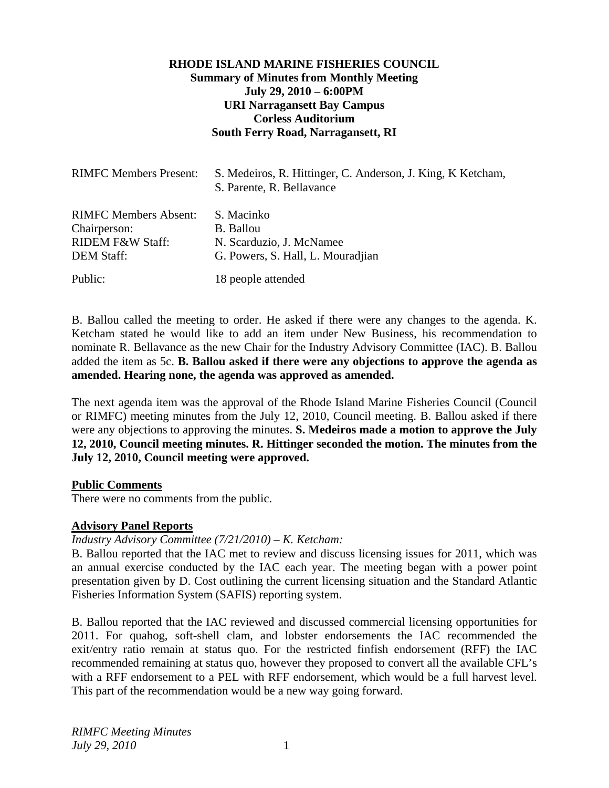# **RHODE ISLAND MARINE FISHERIES COUNCIL Summary of Minutes from Monthly Meeting July 29, 2010 – 6:00PM URI Narragansett Bay Campus Corless Auditorium South Ferry Road, Narragansett, RI**

| <b>RIMFC Members Present:</b>                                                                    | S. Medeiros, R. Hittinger, C. Anderson, J. King, K. Ketcham,<br>S. Parente, R. Bellavance |
|--------------------------------------------------------------------------------------------------|-------------------------------------------------------------------------------------------|
| <b>RIMFC Members Absent:</b><br>Chairperson:<br><b>RIDEM F&amp;W Staff:</b><br><b>DEM Staff:</b> | S. Macinko<br>B. Ballou<br>N. Scarduzio, J. McNamee<br>G. Powers, S. Hall, L. Mouradjian  |
| Public:                                                                                          | 18 people attended                                                                        |

B. Ballou called the meeting to order. He asked if there were any changes to the agenda. K. Ketcham stated he would like to add an item under New Business, his recommendation to nominate R. Bellavance as the new Chair for the Industry Advisory Committee (IAC). B. Ballou added the item as 5c. **B. Ballou asked if there were any objections to approve the agenda as amended. Hearing none, the agenda was approved as amended.** 

The next agenda item was the approval of the Rhode Island Marine Fisheries Council (Council or RIMFC) meeting minutes from the July 12, 2010, Council meeting. B. Ballou asked if there were any objections to approving the minutes. **S. Medeiros made a motion to approve the July 12, 2010, Council meeting minutes. R. Hittinger seconded the motion. The minutes from the July 12, 2010, Council meeting were approved.**

### **Public Comments**

There were no comments from the public.

### **Advisory Panel Reports**

*Industry Advisory Committee (7/21/2010) – K. Ketcham:* 

B. Ballou reported that the IAC met to review and discuss licensing issues for 2011, which was an annual exercise conducted by the IAC each year. The meeting began with a power point presentation given by D. Cost outlining the current licensing situation and the Standard Atlantic Fisheries Information System (SAFIS) reporting system.

B. Ballou reported that the IAC reviewed and discussed commercial licensing opportunities for 2011. For quahog, soft-shell clam, and lobster endorsements the IAC recommended the exit/entry ratio remain at status quo. For the restricted finfish endorsement (RFF) the IAC recommended remaining at status quo, however they proposed to convert all the available CFL's with a RFF endorsement to a PEL with RFF endorsement, which would be a full harvest level. This part of the recommendation would be a new way going forward.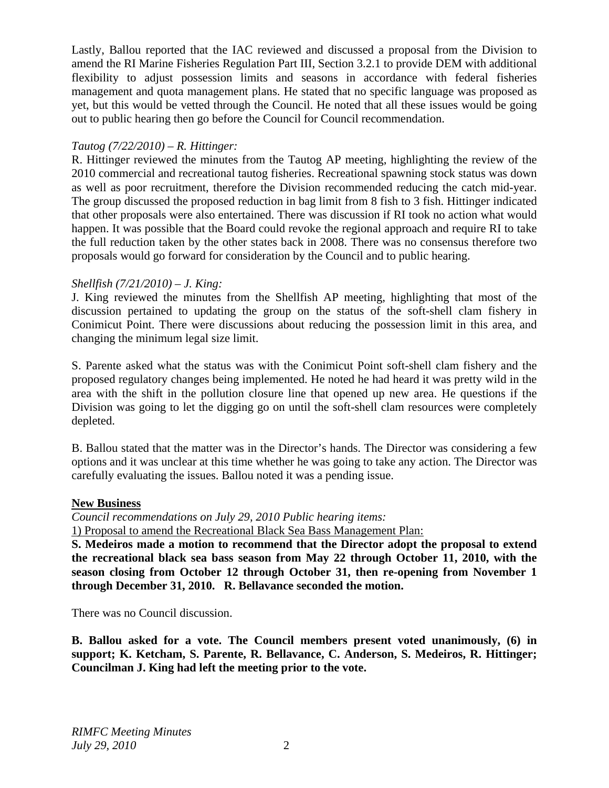Lastly, Ballou reported that the IAC reviewed and discussed a proposal from the Division to amend the RI Marine Fisheries Regulation Part III, Section 3.2.1 to provide DEM with additional flexibility to adjust possession limits and seasons in accordance with federal fisheries management and quota management plans. He stated that no specific language was proposed as yet, but this would be vetted through the Council. He noted that all these issues would be going out to public hearing then go before the Council for Council recommendation.

# *Tautog (7/22/2010) – R. Hittinger:*

R. Hittinger reviewed the minutes from the Tautog AP meeting, highlighting the review of the 2010 commercial and recreational tautog fisheries. Recreational spawning stock status was down as well as poor recruitment, therefore the Division recommended reducing the catch mid-year. The group discussed the proposed reduction in bag limit from 8 fish to 3 fish. Hittinger indicated that other proposals were also entertained. There was discussion if RI took no action what would happen. It was possible that the Board could revoke the regional approach and require RI to take the full reduction taken by the other states back in 2008. There was no consensus therefore two proposals would go forward for consideration by the Council and to public hearing.

# *Shellfish (7/21/2010) – J. King:*

J. King reviewed the minutes from the Shellfish AP meeting, highlighting that most of the discussion pertained to updating the group on the status of the soft-shell clam fishery in Conimicut Point. There were discussions about reducing the possession limit in this area, and changing the minimum legal size limit.

S. Parente asked what the status was with the Conimicut Point soft-shell clam fishery and the proposed regulatory changes being implemented. He noted he had heard it was pretty wild in the area with the shift in the pollution closure line that opened up new area. He questions if the Division was going to let the digging go on until the soft-shell clam resources were completely depleted.

B. Ballou stated that the matter was in the Director's hands. The Director was considering a few options and it was unclear at this time whether he was going to take any action. The Director was carefully evaluating the issues. Ballou noted it was a pending issue.

### **New Business**

*Council recommendations on July 29, 2010 Public hearing items:*  1) Proposal to amend the Recreational Black Sea Bass Management Plan:

**S. Medeiros made a motion to recommend that the Director adopt the proposal to extend the recreational black sea bass season from May 22 through October 11, 2010, with the season closing from October 12 through October 31, then re-opening from November 1 through December 31, 2010. R. Bellavance seconded the motion.** 

There was no Council discussion.

**B. Ballou asked for a vote. The Council members present voted unanimously, (6) in support; K. Ketcham, S. Parente, R. Bellavance, C. Anderson, S. Medeiros, R. Hittinger; Councilman J. King had left the meeting prior to the vote.**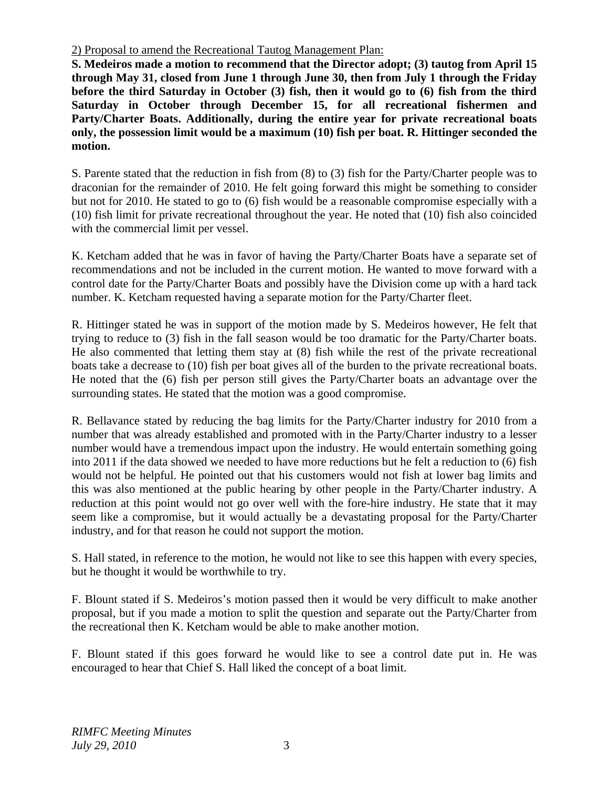2) Proposal to amend the Recreational Tautog Management Plan:

**S. Medeiros made a motion to recommend that the Director adopt; (3) tautog from April 15 through May 31, closed from June 1 through June 30, then from July 1 through the Friday before the third Saturday in October (3) fish, then it would go to (6) fish from the third Saturday in October through December 15, for all recreational fishermen and Party/Charter Boats. Additionally, during the entire year for private recreational boats only, the possession limit would be a maximum (10) fish per boat. R. Hittinger seconded the motion.** 

S. Parente stated that the reduction in fish from (8) to (3) fish for the Party/Charter people was to draconian for the remainder of 2010. He felt going forward this might be something to consider but not for 2010. He stated to go to (6) fish would be a reasonable compromise especially with a (10) fish limit for private recreational throughout the year. He noted that (10) fish also coincided with the commercial limit per vessel.

K. Ketcham added that he was in favor of having the Party/Charter Boats have a separate set of recommendations and not be included in the current motion. He wanted to move forward with a control date for the Party/Charter Boats and possibly have the Division come up with a hard tack number. K. Ketcham requested having a separate motion for the Party/Charter fleet.

R. Hittinger stated he was in support of the motion made by S. Medeiros however, He felt that trying to reduce to (3) fish in the fall season would be too dramatic for the Party/Charter boats. He also commented that letting them stay at (8) fish while the rest of the private recreational boats take a decrease to (10) fish per boat gives all of the burden to the private recreational boats. He noted that the (6) fish per person still gives the Party/Charter boats an advantage over the surrounding states. He stated that the motion was a good compromise.

R. Bellavance stated by reducing the bag limits for the Party/Charter industry for 2010 from a number that was already established and promoted with in the Party/Charter industry to a lesser number would have a tremendous impact upon the industry. He would entertain something going into 2011 if the data showed we needed to have more reductions but he felt a reduction to (6) fish would not be helpful. He pointed out that his customers would not fish at lower bag limits and this was also mentioned at the public hearing by other people in the Party/Charter industry. A reduction at this point would not go over well with the fore-hire industry. He state that it may seem like a compromise, but it would actually be a devastating proposal for the Party/Charter industry, and for that reason he could not support the motion.

S. Hall stated, in reference to the motion, he would not like to see this happen with every species, but he thought it would be worthwhile to try.

F. Blount stated if S. Medeiros's motion passed then it would be very difficult to make another proposal, but if you made a motion to split the question and separate out the Party/Charter from the recreational then K. Ketcham would be able to make another motion.

F. Blount stated if this goes forward he would like to see a control date put in. He was encouraged to hear that Chief S. Hall liked the concept of a boat limit.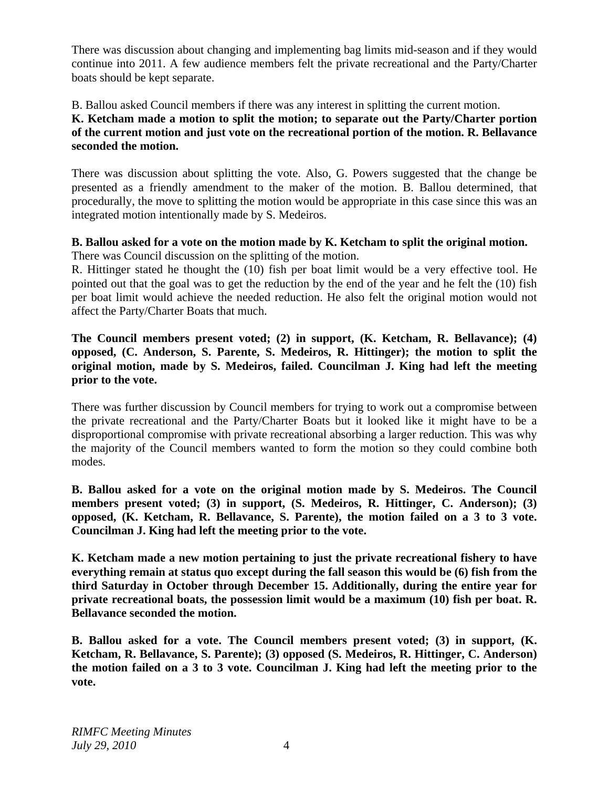There was discussion about changing and implementing bag limits mid-season and if they would continue into 2011. A few audience members felt the private recreational and the Party/Charter boats should be kept separate.

B. Ballou asked Council members if there was any interest in splitting the current motion.

**K. Ketcham made a motion to split the motion; to separate out the Party/Charter portion of the current motion and just vote on the recreational portion of the motion. R. Bellavance seconded the motion.** 

There was discussion about splitting the vote. Also, G. Powers suggested that the change be presented as a friendly amendment to the maker of the motion. B. Ballou determined, that procedurally, the move to splitting the motion would be appropriate in this case since this was an integrated motion intentionally made by S. Medeiros.

# **B. Ballou asked for a vote on the motion made by K. Ketcham to split the original motion.**

There was Council discussion on the splitting of the motion.

R. Hittinger stated he thought the (10) fish per boat limit would be a very effective tool. He pointed out that the goal was to get the reduction by the end of the year and he felt the (10) fish per boat limit would achieve the needed reduction. He also felt the original motion would not affect the Party/Charter Boats that much.

**The Council members present voted; (2) in support, (K. Ketcham, R. Bellavance); (4) opposed, (C. Anderson, S. Parente, S. Medeiros, R. Hittinger); the motion to split the original motion, made by S. Medeiros, failed. Councilman J. King had left the meeting prior to the vote.** 

There was further discussion by Council members for trying to work out a compromise between the private recreational and the Party/Charter Boats but it looked like it might have to be a disproportional compromise with private recreational absorbing a larger reduction. This was why the majority of the Council members wanted to form the motion so they could combine both modes.

**B. Ballou asked for a vote on the original motion made by S. Medeiros. The Council members present voted; (3) in support, (S. Medeiros, R. Hittinger, C. Anderson); (3) opposed, (K. Ketcham, R. Bellavance, S. Parente), the motion failed on a 3 to 3 vote. Councilman J. King had left the meeting prior to the vote.** 

**K. Ketcham made a new motion pertaining to just the private recreational fishery to have everything remain at status quo except during the fall season this would be (6) fish from the third Saturday in October through December 15. Additionally, during the entire year for private recreational boats, the possession limit would be a maximum (10) fish per boat. R. Bellavance seconded the motion.** 

**B. Ballou asked for a vote. The Council members present voted; (3) in support, (K. Ketcham, R. Bellavance, S. Parente); (3) opposed (S. Medeiros, R. Hittinger, C. Anderson) the motion failed on a 3 to 3 vote. Councilman J. King had left the meeting prior to the vote.**